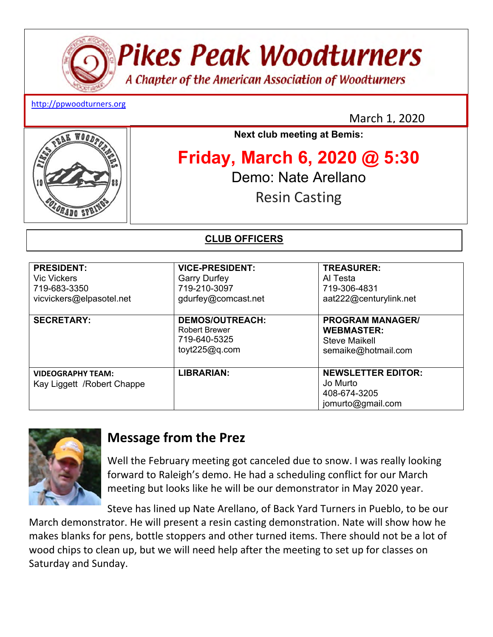# **Pikes Peak Woodturners**

A Chapter of the American Association of Woodturners

#### http://ppwoodturners.org

March 1, 2020



## **Next club meeting at Bemis:**

## **Friday, March 6, 2020 @ 5:30**  Demo: Nate Arellano Resin Casting

## **CLUB OFFICERS**

| <b>PRESIDENT:</b><br>Vic Vickers<br>719-683-3350<br>vicvickers@elpasotel.net | <b>VICE-PRESIDENT:</b><br><b>Garry Durfey</b><br>719-210-3097<br>gdurfey@comcast.net | <b>TREASURER:</b><br>Al Testa<br>719-306-4831<br>aat222@centurylink.net              |
|------------------------------------------------------------------------------|--------------------------------------------------------------------------------------|--------------------------------------------------------------------------------------|
| <b>SECRETARY:</b>                                                            | <b>DEMOS/OUTREACH:</b><br><b>Robert Brewer</b><br>719-640-5325<br>toyt $225@q.com$   | <b>PROGRAM MANAGER/</b><br><b>WEBMASTER:</b><br>Steve Maikell<br>semaike@hotmail.com |
| <b>VIDEOGRAPHY TEAM:</b><br>Kay Liggett / Robert Chappe                      | <b>LIBRARIAN:</b>                                                                    | <b>NEWSLETTER EDITOR:</b><br>Jo Murto<br>408-674-3205<br>jomurto@gmail.com           |



## **Message from the Prez**

Well the February meeting got canceled due to snow. I was really looking forward to Raleigh's demo. He had a scheduling conflict for our March meeting but looks like he will be our demonstrator in May 2020 year.

Steve has lined up Nate Arellano, of Back Yard Turners in Pueblo, to be our March demonstrator. He will present a resin casting demonstration. Nate will show how he makes blanks for pens, bottle stoppers and other turned items. There should not be a lot of wood chips to clean up, but we will need help after the meeting to set up for classes on Saturday and Sunday.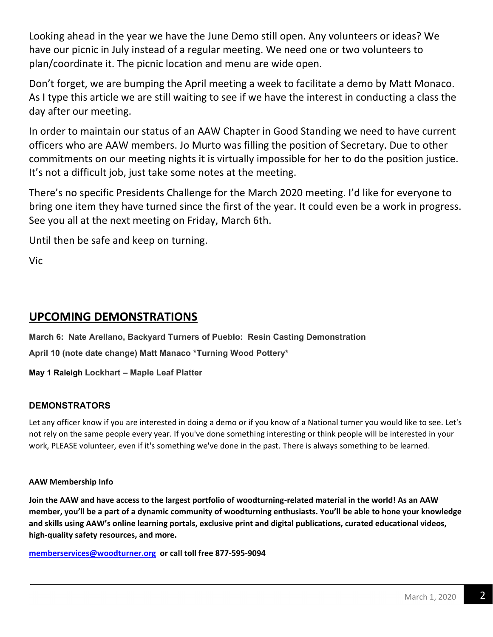Looking ahead in the year we have the June Demo still open. Any volunteers or ideas? We have our picnic in July instead of a regular meeting. We need one or two volunteers to plan/coordinate it. The picnic location and menu are wide open.

Don't forget, we are bumping the April meeting a week to facilitate a demo by Matt Monaco. As I type this article we are still waiting to see if we have the interest in conducting a class the day after our meeting.

In order to maintain our status of an AAW Chapter in Good Standing we need to have current officers who are AAW members. Jo Murto was filling the position of Secretary. Due to other commitments on our meeting nights it is virtually impossible for her to do the position justice. It's not a difficult job, just take some notes at the meeting.

There's no specific Presidents Challenge for the March 2020 meeting. I'd like for everyone to bring one item they have turned since the first of the year. It could even be a work in progress. See you all at the next meeting on Friday, March 6th.

Until then be safe and keep on turning.

Vic

## **UPCOMING DEMONSTRATIONS**

**March 6: Nate Arellano, Backyard Turners of Pueblo: Resin Casting Demonstration April 10 (note date change) Matt Manaco \*Turning Wood Pottery\*** 

**May 1 Raleigh Lockhart – Maple Leaf Platter**

#### **DEMONSTRATORS**

Let any officer know if you are interested in doing a demo or if you know of a National turner you would like to see. Let's not rely on the same people every year. If you've done something interesting or think people will be interested in your work, PLEASE volunteer, even if it's something we've done in the past. There is always something to be learned.

#### **AAW Membership Info**

**Join the AAW and have access to the largest portfolio of woodturning-related material in the world! As an AAW member, you'll be a part of a dynamic community of woodturning enthusiasts. You'll be able to hone your knowledge and skills using AAW's online learning portals, exclusive print and digital publications, curated educational videos, high-quality safety resources, and more.** 

**memberservices@woodturner.org or call toll free 877-595-9094**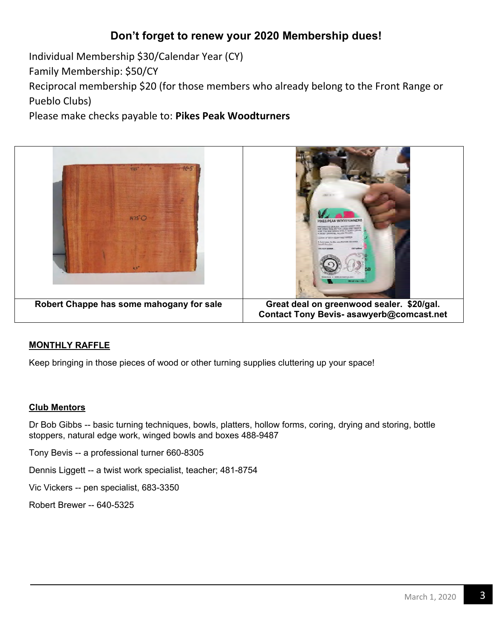## **Don't forget to renew your 2020 Membership dues!**

Individual Membership \$30/Calendar Year (CY)

Family Membership: \$50/CY

Reciprocal membership \$20 (for those members who already belong to the Front Range or Pueblo Clubs)

Please make checks payable to: **Pikes Peak Woodturners** 



#### **MONTHLY RAFFLE**

Keep bringing in those pieces of wood or other turning supplies cluttering up your space!

#### **Club Mentors**

Dr Bob Gibbs -- basic turning techniques, bowls, platters, hollow forms, coring, drying and storing, bottle stoppers, natural edge work, winged bowls and boxes 488-9487

Tony Bevis -- a professional turner 660-8305

Dennis Liggett -- a twist work specialist, teacher; 481-8754

Vic Vickers -- pen specialist, 683-3350

Robert Brewer -- 640-5325